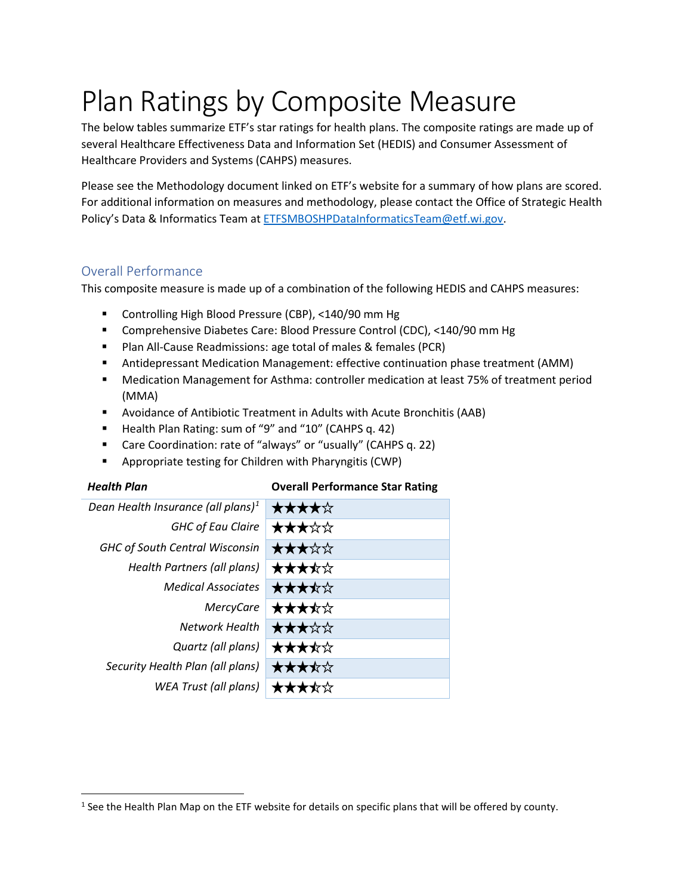# Plan Ratings by Composite Measure

The below tables summarize ETF's star ratings for health plans. The composite ratings are made up of several Healthcare Effectiveness Data and Information Set (HEDIS) and Consumer Assessment of Healthcare Providers and Systems (CAHPS) measures.

Please see the Methodology document linked on ETF's website for a summary of how plans are scored. For additional information on measures and methodology, please contact the Office of Strategic Health Policy's Data & Informatics Team at [ETFSMBOSHPDataInformaticsTeam@etf.wi.gov.](mailto:ETFSMBOSHPDataInformaticsTeam@etf.wi.gov)

### Overall Performance

This composite measure is made up of a combination of the following HEDIS and CAHPS measures:

- Controlling High Blood Pressure (CBP), <140/90 mm Hg
- Comprehensive Diabetes Care: Blood Pressure Control (CDC), <140/90 mm Hg
- **Plan All-Cause Readmissions: age total of males & females (PCR)**
- Antidepressant Medication Management: effective continuation phase treatment (AMM)
- Medication Management for Asthma: controller medication at least 75% of treatment period (MMA)
- Avoidance of Antibiotic Treatment in Adults with Acute Bronchitis (AAB)
- Health Plan Rating: sum of "9" and "10" (CAHPS q. 42)
- Care Coordination: rate of "always" or "usually" (CAHPS q. 22)
- Appropriate testing for Children with Pharyngitis (CWP)

| <b>Health Plan</b>                             | <b>Overall Performance Star Rating</b> |
|------------------------------------------------|----------------------------------------|
| Dean Health Insurance (all plans) <sup>1</sup> | ★★★★☆                                  |
| <b>GHC of Eau Claire</b>                       | ★★★☆☆                                  |
| <b>GHC of South Central Wisconsin</b>          | ★★★☆☆                                  |
| Health Partners (all plans)                    | ★★★★☆                                  |
| <b>Medical Associates</b>                      | ★★★★☆                                  |
| <b>MercyCare</b>                               | ★★★★☆                                  |
| Network Health                                 | ★★★☆☆                                  |
| Quartz (all plans)                             | ★★★★☆                                  |
| Security Health Plan (all plans)               | ★★★★☆                                  |
| <b>WEA Trust (all plans)</b>                   | ⊀⊱☆                                    |

<span id="page-0-0"></span> $1$  See the Health Plan Map on the ETF website for details on specific plans that will be offered by county.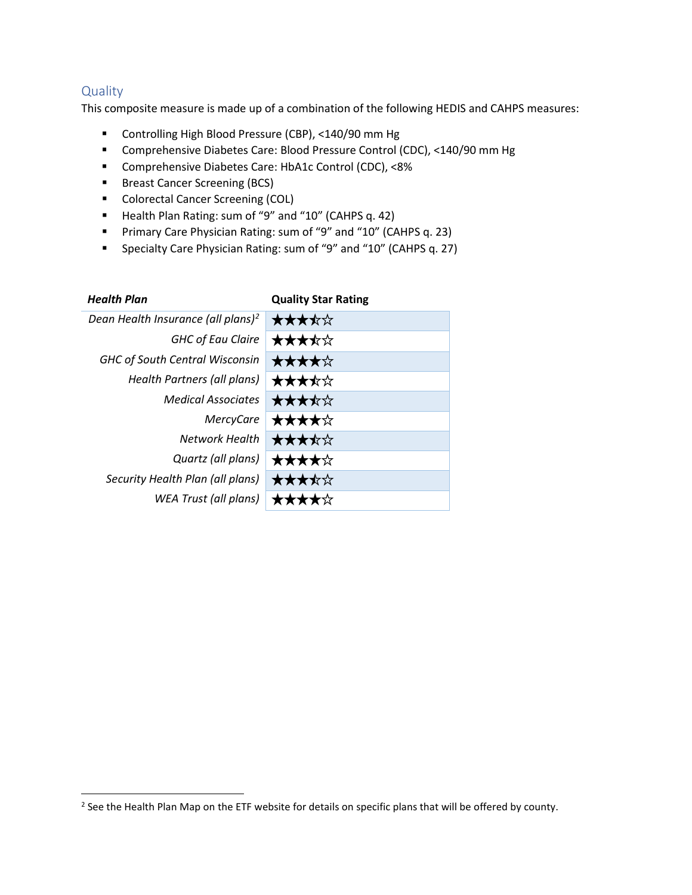#### **Quality**

This composite measure is made up of a combination of the following HEDIS and CAHPS measures:

- Controlling High Blood Pressure (CBP), <140/90 mm Hg
- Comprehensive Diabetes Care: Blood Pressure Control (CDC), <140/90 mm Hg
- Comprehensive Diabetes Care: HbA1c Control (CDC), <8%
- **Breast Cancer Screening (BCS)**
- **Colorectal Cancer Screening (COL)**
- Health Plan Rating: sum of "9" and "10" (CAHPS q. 42)
- **Primary Care Physician Rating: sum of "9" and "10" (CAHPS q. 23)**
- Specialty Care Physician Rating: sum of "9" and "10" (CAHPS q. 27)

| <b>Health Plan</b>                             | <b>Quality Star Rating</b> |
|------------------------------------------------|----------------------------|
| Dean Health Insurance (all plans) <sup>2</sup> | ★★★★☆                      |
| <b>GHC of Eau Claire</b>                       | ★★★★☆                      |
| <b>GHC of South Central Wisconsin</b>          | ★★★★☆                      |
| Health Partners (all plans)                    | ★★★★☆                      |
| <b>Medical Associates</b>                      | ★★★★☆                      |
| <b>MercyCare</b>                               | ★★★★☆                      |
| Network Health                                 | ★★★★☆                      |
| Quartz (all plans)                             | ★★★★☆                      |
| Security Health Plan (all plans)               | ★★★★☆                      |
| WEA Trust (all plans)                          |                            |

<span id="page-1-0"></span><sup>&</sup>lt;sup>2</sup> See the Health Plan Map on the ETF website for details on specific plans that will be offered by county.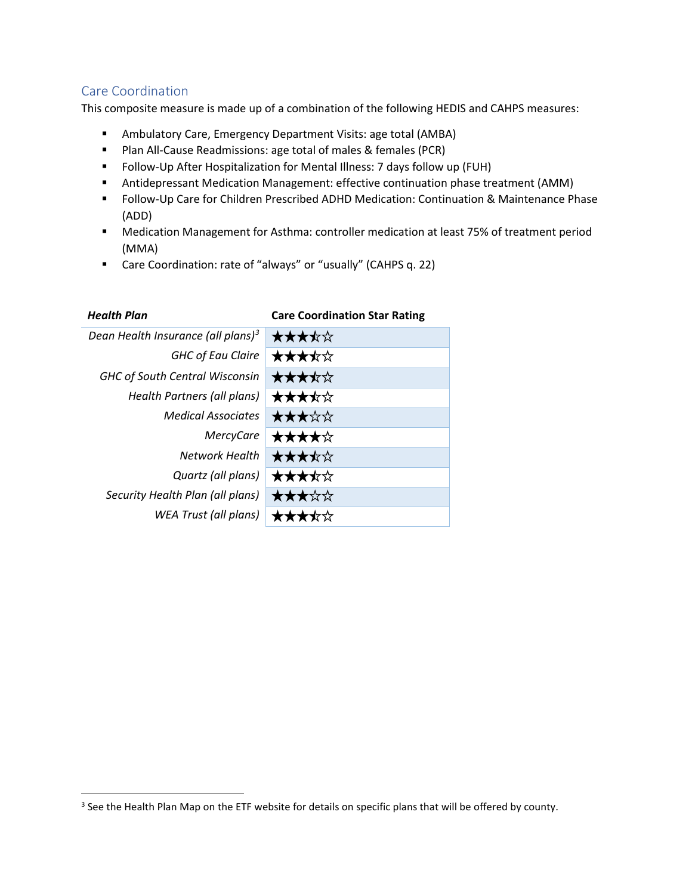# Care Coordination

This composite measure is made up of a combination of the following HEDIS and CAHPS measures:

- Ambulatory Care, Emergency Department Visits: age total (AMBA)
- **Plan All-Cause Readmissions: age total of males & females (PCR)**
- Follow-Up After Hospitalization for Mental Illness: 7 days follow up (FUH)
- Antidepressant Medication Management: effective continuation phase treatment (AMM)
- Follow-Up Care for Children Prescribed ADHD Medication: Continuation & Maintenance Phase (ADD)
- Medication Management for Asthma: controller medication at least 75% of treatment period (MMA)
- Care Coordination: rate of "always" or "usually" (CAHPS q. 22)

*Health Plan* **Care Coordination Star Rating**

| Care Coordination Star Rathig |
|-------------------------------|
| ★★★★☆                         |
| ★★★★☆                         |
| ★★★★☆                         |
| ★★★★☆                         |
| ★★★☆☆                         |
| ★★★★☆                         |
| ★★★★☆                         |
| ★★★★☆                         |
| ★★★☆☆                         |
| ┲┱╬┸                          |
|                               |

<span id="page-2-0"></span><sup>&</sup>lt;sup>3</sup> See the Health Plan Map on the ETF website for details on specific plans that will be offered by county.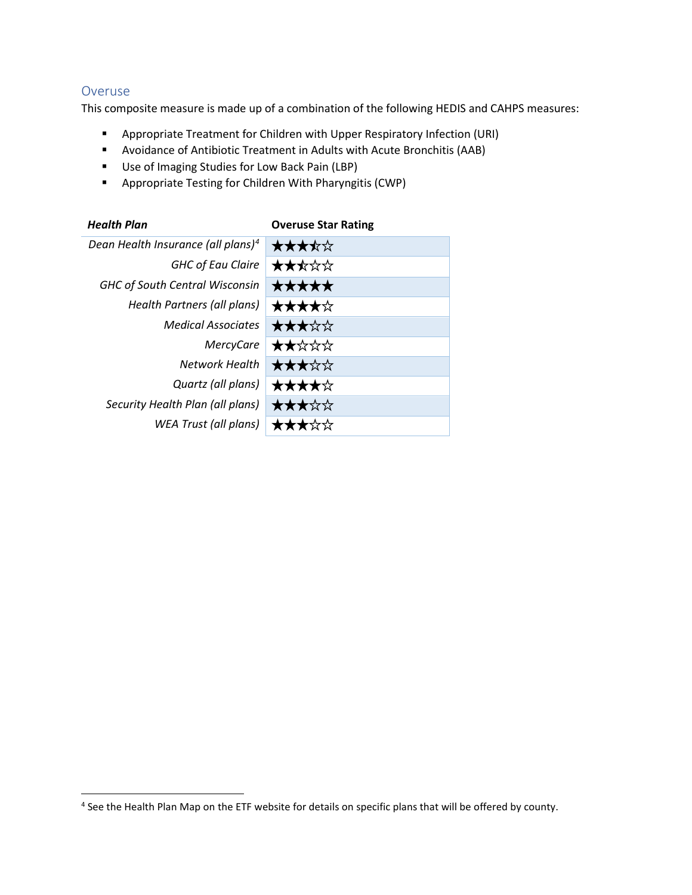#### Overuse

This composite measure is made up of a combination of the following HEDIS and CAHPS measures:

- **Appropriate Treatment for Children with Upper Respiratory Infection (URI)**
- Avoidance of Antibiotic Treatment in Adults with Acute Bronchitis (AAB)
- **Use of Imaging Studies for Low Back Pain (LBP)**
- Appropriate Testing for Children With Pharyngitis (CWP)

| <b>Overuse Star Rating</b> |
|----------------------------|
| ★★★★☆                      |
| ★★★☆☆                      |
| *****                      |
| ★★★★☆                      |
| ★★★☆☆                      |
| ★★☆☆☆                      |
| ★★★☆☆                      |
| ★★★★☆                      |
| ★★★☆☆                      |
|                            |
|                            |

<span id="page-3-0"></span><sup>&</sup>lt;sup>4</sup> See the Health Plan Map on the ETF website for details on specific plans that will be offered by county.